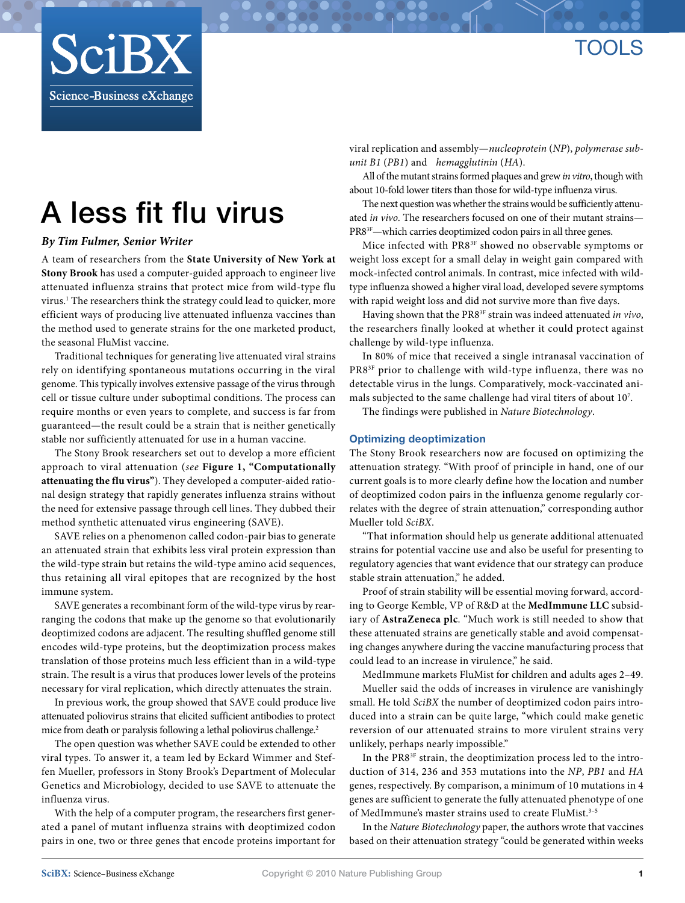## tools



# A less fit flu virus

## *By Tim Fulmer, Senior Writer*

A team of researchers from the **[State University of New York at](http://www.stonybrook.edu/) [Stony Brook](http://www.stonybrook.edu/)** has used a computer-guided approach to engineer live attenuated influenza strains that protect mice from wild-type flu virus.1 The researchers think the strategy could lead to quicker, more efficient ways of producing live attenuated influenza vaccines than the method used to generate strains for the one marketed product, the seasonal FluMist vaccine.

Traditional techniques for generating live attenuated viral strains rely on identifying spontaneous mutations occurring in the viral genome. This typically involves extensive passage of the virus through cell or tissue culture under suboptimal conditions. The process can require months or even years to complete, and success is far from guaranteed—the result could be a strain that is neither genetically stable nor sufficiently attenuated for use in a human vaccine.

The Stony Brook researchers set out to develop a more efficient approach to viral attenuation (*see* **Figure 1, "Computationally attenuating the flu virus"**). They developed a computer-aided rational design strategy that rapidly generates influenza strains without the need for extensive passage through cell lines. They dubbed their method synthetic attenuated virus engineering (SAVE).

SAVE relies on a phenomenon called codon-pair bias to generate an attenuated strain that exhibits less viral protein expression than the wild-type strain but retains the wild-type amino acid sequences, thus retaining all viral epitopes that are recognized by the host immune system.

SAVE generates a recombinant form of the wild-type virus by rearranging the codons that make up the genome so that evolutionarily deoptimized codons are adjacent. The resulting shuffled genome still encodes wild-type proteins, but the deoptimization process makes translation of those proteins much less efficient than in a wild-type strain. The result is a virus that produces lower levels of the proteins necessary for viral replication, which directly attenuates the strain.

In previous work, the group showed that SAVE could produce live attenuated poliovirus strains that elicited sufficient antibodies to protect mice from death or paralysis following a lethal poliovirus challenge.<sup>2</sup>

The open question was whether SAVE could be extended to other viral types. To answer it, a team led by Eckard Wimmer and Steffen Mueller, professors in Stony Brook's Department of Molecular Genetics and Microbiology, decided to use SAVE to attenuate the influenza virus.

With the help of a computer program, the researchers first generated a panel of mutant influenza strains with deoptimized codon pairs in one, two or three genes that encode proteins important for viral replication and assembly—*nucleoprotein* (*NP*), *polymerase subunit B1* (*PB1*) and *hemagglutinin* (*HA*).

All of the mutant strains formed plaques and grew *in vitro*, though with about 10-fold lower titers than those for wild-type influenza virus.

The next question was whether the strains would be sufficiently attenuated *in vivo*. The researchers focused on one of their mutant strains— PR83F—which carries deoptimized codon pairs in all three genes.

Mice infected with PR83F showed no observable symptoms or weight loss except for a small delay in weight gain compared with mock-infected control animals. In contrast, mice infected with wildtype influenza showed a higher viral load, developed severe symptoms with rapid weight loss and did not survive more than five days.

Having shown that the PR83F strain was indeed attenuated *in vivo*, the researchers finally looked at whether it could protect against challenge by wild-type influenza.

In 80% of mice that received a single intranasal vaccination of PR83F prior to challenge with wild-type influenza, there was no detectable virus in the lungs. Comparatively, mock-vaccinated animals subjected to the same challenge had viral titers of about 107 .

The findings were published in *Nature Biotechnology*.

### Optimizing deoptimization

The Stony Brook researchers now are focused on optimizing the attenuation strategy. "With proof of principle in hand, one of our current goals is to more clearly define how the location and number of deoptimized codon pairs in the influenza genome regularly correlates with the degree of strain attenuation," corresponding author Mueller told *SciBX*.

"That information should help us generate additional attenuated strains for potential vaccine use and also be useful for presenting to regulatory agencies that want evidence that our strategy can produce stable strain attenuation," he added.

Proof of strain stability will be essential moving forward, according to George Kemble, VP of R&D at the **[MedImmune LLC](http://www.biocentury.com/companies/MedImmune_LLC?utm_source=1)** subsidiary of **[AstraZeneca plc](http://www.biocentury.com/companies/AstraZeneca_plc?utm_source=1)**. "Much work is still needed to show that these attenuated strains are genetically stable and avoid compensating changes anywhere during the vaccine manufacturing process that could lead to an increase in virulence," he said.

MedImmune markets FluMist for children and adults ages 2–49.

Mueller said the odds of increases in virulence are vanishingly small. He told *SciBX* the number of deoptimized codon pairs introduced into a strain can be quite large, "which could make genetic reversion of our attenuated strains to more virulent strains very unlikely, perhaps nearly impossible."

In the PR83F strain, the deoptimization process led to the introduction of 314, 236 and 353 mutations into the *NP*, *PB1* and *HA* genes, respectively. By comparison, a minimum of 10 mutations in 4 genes are sufficient to generate the fully attenuated phenotype of one of MedImmune's master strains used to create FluMist.<sup>3-5</sup>

In the *Nature Biotechnology* paper, the authors wrote that vaccines based on their attenuation strategy "could be generated within weeks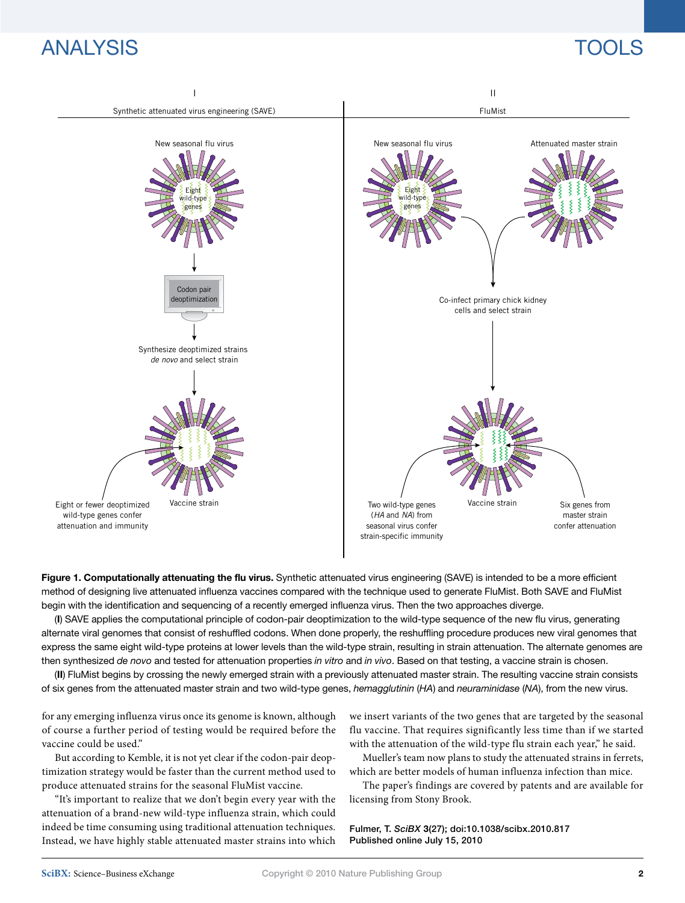## analysis tools



Figure 1. Computationally attenuating the flu virus. Synthetic attenuated virus engineering (SAVE) is intended to be a more efficient method of designing live attenuated influenza vaccines compared with the technique used to generate FluMist. Both SAVE and FluMist begin with the identification and sequencing of a recently emerged influenza virus. Then the two approaches diverge.

(I) SAVE applies the computational principle of codon-pair deoptimization to the wild-type sequence of the new flu virus, generating alternate viral genomes that consist of reshuffled codons. When done properly, the reshuffling procedure produces new viral genomes that express the same eight wild-type proteins at lower levels than the wild-type strain, resulting in strain attenuation. The alternate genomes are then synthesized *de novo* and tested for attenuation properties *in vitro* and *in vivo*. Based on that testing, a vaccine strain is chosen.

(II) FluMist begins by crossing the newly emerged strain with a previously attenuated master strain. The resulting vaccine strain consists of six genes from the attenuated master strain and two wild-type genes, *hemagglutinin* (*HA*) and *neuraminidase* (*NA*), from the new virus.

for any emerging influenza virus once its genome is known, although of course a further period of testing would be required before the vaccine could be used."

But according to Kemble, it is not yet clear if the codon-pair deoptimization strategy would be faster than the current method used to produce attenuated strains for the seasonal FluMist vaccine.

"It's important to realize that we don't begin every year with the attenuation of a brand-new wild-type influenza strain, which could indeed be time consuming using traditional attenuation techniques. Instead, we have highly stable attenuated master strains into which

we insert variants of the two genes that are targeted by the seasonal flu vaccine. That requires significantly less time than if we started with the attenuation of the wild-type flu strain each year," he said.

Mueller's team now plans to study the attenuated strains in ferrets, which are better models of human influenza infection than mice.

The paper's findings are covered by patents and are available for licensing from Stony Brook.

Fulmer, T. *SciBX* 3(27); doi:10.1038/scibx.2010.817 Published online July 15, 2010